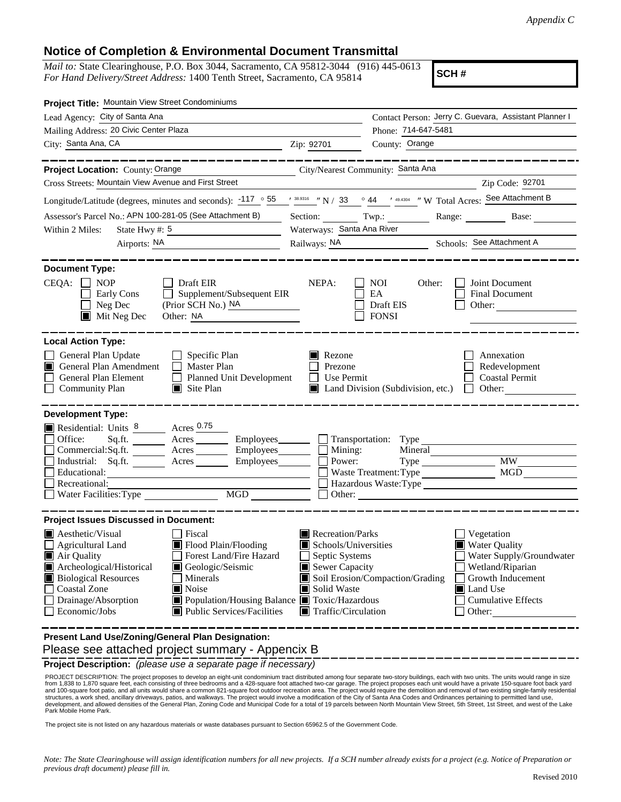### **Notice of Completion & Environmental Document Transmittal**

*Mail to:* State Clearinghouse, P.O. Box 3044, Sacramento, CA 95812-3044 (916) 445-0613 *For Hand Delivery/Street Address:* 1400 Tenth Street, Sacramento, CA 95814

**SCH #**

| Project Title: Mountain View Street Condominiums                                                                                                                                                                                        |       |                                                                                                                                                                                             |                                                                                                                                                                                                                                                                                                                                                                                                                                                                                                                                                                                                                                                                                                                                                                                                                                                         |  |
|-----------------------------------------------------------------------------------------------------------------------------------------------------------------------------------------------------------------------------------------|-------|---------------------------------------------------------------------------------------------------------------------------------------------------------------------------------------------|---------------------------------------------------------------------------------------------------------------------------------------------------------------------------------------------------------------------------------------------------------------------------------------------------------------------------------------------------------------------------------------------------------------------------------------------------------------------------------------------------------------------------------------------------------------------------------------------------------------------------------------------------------------------------------------------------------------------------------------------------------------------------------------------------------------------------------------------------------|--|
| Lead Agency: City of Santa Ana                                                                                                                                                                                                          |       |                                                                                                                                                                                             | Contact Person: Jerry C. Guevara, Assistant Planner I                                                                                                                                                                                                                                                                                                                                                                                                                                                                                                                                                                                                                                                                                                                                                                                                   |  |
| Mailing Address: 20 Civic Center Plaza                                                                                                                                                                                                  |       |                                                                                                                                                                                             |                                                                                                                                                                                                                                                                                                                                                                                                                                                                                                                                                                                                                                                                                                                                                                                                                                                         |  |
| City: Santa Ana, CA<br><u> 1989 - Johann Barn, mars ann an t-</u>                                                                                                                                                                       |       | County: Orange                                                                                                                                                                              |                                                                                                                                                                                                                                                                                                                                                                                                                                                                                                                                                                                                                                                                                                                                                                                                                                                         |  |
|                                                                                                                                                                                                                                         |       |                                                                                                                                                                                             |                                                                                                                                                                                                                                                                                                                                                                                                                                                                                                                                                                                                                                                                                                                                                                                                                                                         |  |
| Cross Streets: Mountain View Avenue and First Street                                                                                                                                                                                    |       |                                                                                                                                                                                             | Zip Code: 92701                                                                                                                                                                                                                                                                                                                                                                                                                                                                                                                                                                                                                                                                                                                                                                                                                                         |  |
|                                                                                                                                                                                                                                         |       |                                                                                                                                                                                             |                                                                                                                                                                                                                                                                                                                                                                                                                                                                                                                                                                                                                                                                                                                                                                                                                                                         |  |
| Assessor's Parcel No.: APN 100-281-05 (See Attachment B)                                                                                                                                                                                |       |                                                                                                                                                                                             | Range: Base:                                                                                                                                                                                                                                                                                                                                                                                                                                                                                                                                                                                                                                                                                                                                                                                                                                            |  |
|                                                                                                                                                                                                                                         |       |                                                                                                                                                                                             |                                                                                                                                                                                                                                                                                                                                                                                                                                                                                                                                                                                                                                                                                                                                                                                                                                                         |  |
|                                                                                                                                                                                                                                         |       |                                                                                                                                                                                             |                                                                                                                                                                                                                                                                                                                                                                                                                                                                                                                                                                                                                                                                                                                                                                                                                                                         |  |
| $\Box$ Draft EIR<br>Supplement/Subsequent EIR                                                                                                                                                                                           | NEPA: | <b>NOI</b><br>EA<br>Draft EIS<br><b>FONSI</b>                                                                                                                                               | Joint Document<br>Final Document<br>Other:                                                                                                                                                                                                                                                                                                                                                                                                                                                                                                                                                                                                                                                                                                                                                                                                              |  |
| $\Box$ Specific Plan<br>$\Box$ Master Plan<br>$\Box$ Site Plan                                                                                                                                                                          |       |                                                                                                                                                                                             | Annexation<br>Redevelopment<br><b>Coastal Permit</b><br>$\Box$ Other:                                                                                                                                                                                                                                                                                                                                                                                                                                                                                                                                                                                                                                                                                                                                                                                   |  |
| Residential: Units 8 Acres 0.75<br>Industrial: $Sq.fit.$ Acres<br>Water Facilities: Type                                                                                                                                                |       |                                                                                                                                                                                             | <b>MW</b><br><b>MGD</b>                                                                                                                                                                                                                                                                                                                                                                                                                                                                                                                                                                                                                                                                                                                                                                                                                                 |  |
| <b>Project Issues Discussed in Document:</b><br>Fiscal<br>Flood Plain/Flooding<br>Forest Land/Fire Hazard<br>Geologic/Seismic<br>Minerals<br>Noise<br>■ Public Services/Facilities<br>Present Land Use/Zoning/General Plan Designation: |       |                                                                                                                                                                                             | Vegetation<br>Water Quality<br>Water Supply/Groundwater<br>Wetland/Riparian<br>Growth Inducement<br>Land Use<br>ш<br><b>Cumulative Effects</b><br>Other:                                                                                                                                                                                                                                                                                                                                                                                                                                                                                                                                                                                                                                                                                                |  |
|                                                                                                                                                                                                                                         |       | Zip: 92701<br>(Prior SCH No.) NA<br>Other: NA<br>Planned Unit Development<br>Commercial:Sq.ft. ________ Acres __________ Employees_________ $\Box$<br>$Employes$ <sub>________</sub><br>MGD | Phone: 714-647-5481<br>City/Nearest Community: Santa Ana<br>Longitude/Latitude (degrees, minutes and seconds): $117 \degree 55$ / $38.9316$ / N / 33 $\degree 44$ / 49.4304 / W Total Acres: See Attachment B<br>Section: $Twp$ .:<br>Waterways: Santa Ana River<br>Railways: NA Schools: See Attachment A<br>Other:<br>$\blacksquare$ Rezone<br>Prezone<br>$\Box$ Use Permit<br>Land Division (Subdivision, etc.)<br>Sq.ft. _________ Acres __________ Employees ________ __ Transportation: Type<br>Mining:<br>Mineral<br>Power:<br>$Type \_$<br>Waste Treatment: Type<br>Hazardous Waste:Type<br>$\Box$ Other: $\Box$<br>Recreation/Parks<br>Schools/Universities<br>Septic Systems<br>Sewer Capacity<br>Soil Erosion/Compaction/Grading<br>Solid Waste<br>Population/Housing Balance <b>T</b> Toxic/Hazardous<br>$\blacksquare$ Traffic/Circulation |  |

Please see attached project summary - Appencix B

**Project Description:** *(please use a separate page if necessary)*

PROJECT DESCRIPTION: The project proposes to develop an eight-unit condominium tract distributed among four separate two-story buildings, each with two units. The units would range in size<br>from 1,838 to 1,870 square feet, PROJECT DESCRIPTION: The project proposes to develop an eight-unit condominium tract distributed among four separate two-story buildings, each with two units. The units would range in size Park Mobile Home Park.

The project site is not listed on any hazardous materials or waste databases pursuant to Section 65962.5 of the Government Code.

*Note: The State Clearinghouse will assign identification numbers for all new projects. If a SCH number already exists for a project (e.g. Notice of Preparation or previous draft document) please fill in.*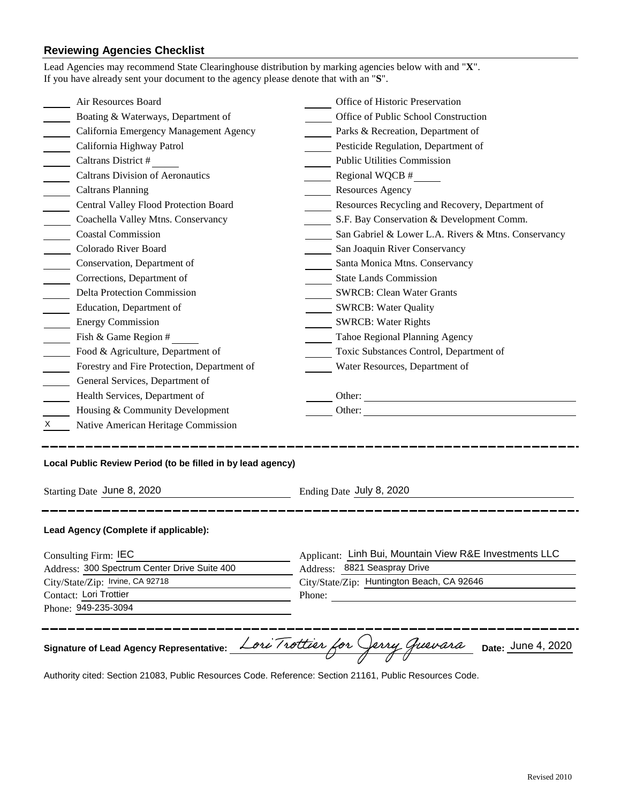# **Reviewing Agencies Checklist**

|                                                            | Phone: 949-235-3094                                         |                                                        |  |  |
|------------------------------------------------------------|-------------------------------------------------------------|--------------------------------------------------------|--|--|
|                                                            |                                                             |                                                        |  |  |
|                                                            |                                                             | Phone:                                                 |  |  |
| City/State/Zip: Irvine, CA 92718<br>Contact: Lori Trottier |                                                             | City/State/Zip: Huntington Beach, CA 92646             |  |  |
| Address: 300 Spectrum Center Drive Suite 400               |                                                             | Address: 8821 Seaspray Drive                           |  |  |
| Consulting Firm: IEC                                       |                                                             | Applicant: Linh Bui, Mountain View R&E Investments LLC |  |  |
|                                                            | Lead Agency (Complete if applicable):                       |                                                        |  |  |
|                                                            | Starting Date June 8, 2020                                  | Ending Date July 8, 2020                               |  |  |
|                                                            | Local Public Review Period (to be filled in by lead agency) |                                                        |  |  |
| X.                                                         | Native American Heritage Commission                         |                                                        |  |  |
|                                                            | Housing & Community Development                             | Other:                                                 |  |  |
|                                                            | Health Services, Department of                              | Other:                                                 |  |  |
|                                                            | General Services, Department of                             |                                                        |  |  |
|                                                            | Forestry and Fire Protection, Department of                 | Water Resources, Department of                         |  |  |
|                                                            | Food & Agriculture, Department of                           | Toxic Substances Control, Department of                |  |  |
|                                                            | Fish & Game Region #                                        | Tahoe Regional Planning Agency                         |  |  |
|                                                            | <b>Energy Commission</b>                                    | <b>SWRCB: Water Rights</b>                             |  |  |
|                                                            | Education, Department of                                    | <b>SWRCB: Water Quality</b>                            |  |  |
|                                                            | <b>Delta Protection Commission</b>                          | <b>SWRCB: Clean Water Grants</b>                       |  |  |
|                                                            | Corrections, Department of                                  | <b>State Lands Commission</b>                          |  |  |
|                                                            | Conservation, Department of                                 | Santa Monica Mtns. Conservancy                         |  |  |
|                                                            | Colorado River Board                                        | San Joaquin River Conservancy                          |  |  |
|                                                            | <b>Coastal Commission</b>                                   | San Gabriel & Lower L.A. Rivers & Mtns. Conservancy    |  |  |
|                                                            | Coachella Valley Mtns. Conservancy                          | S.F. Bay Conservation & Development Comm.              |  |  |
|                                                            | Central Valley Flood Protection Board                       | Resources Recycling and Recovery, Department of        |  |  |
|                                                            | <b>Caltrans Planning</b>                                    | <b>Resources Agency</b>                                |  |  |
|                                                            | <b>Caltrans Division of Aeronautics</b>                     | $\frac{1}{2}$ Regional WQCB #                          |  |  |
|                                                            | Caltrans District #                                         | <b>Public Utilities Commission</b>                     |  |  |
|                                                            | California Highway Patrol                                   | Pesticide Regulation, Department of                    |  |  |
|                                                            | California Emergency Management Agency                      | Parks & Recreation, Department of                      |  |  |
|                                                            | Boating & Waterways, Department of                          | Office of Public School Construction                   |  |  |
|                                                            | Air Resources Board                                         | Office of Historic Preservation                        |  |  |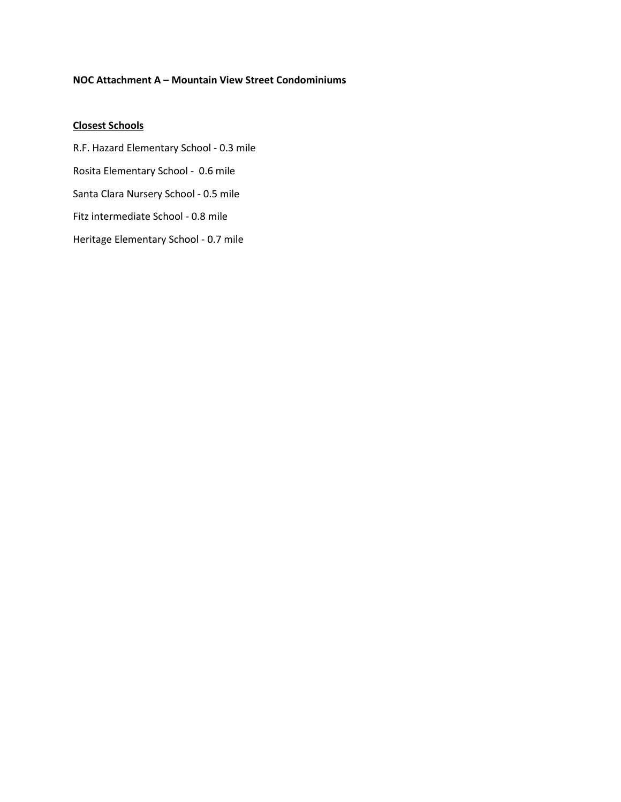#### **NOC Attachment A – Mountain View Street Condominiums**

## **Closest Schools**

R.F. Hazard Elementary School - 0.3 mile Rosita Elementary School - 0.6 mile Santa Clara Nursery School - 0.5 mile Fitz intermediate School - 0.8 mile Heritage Elementary School - 0.7 mile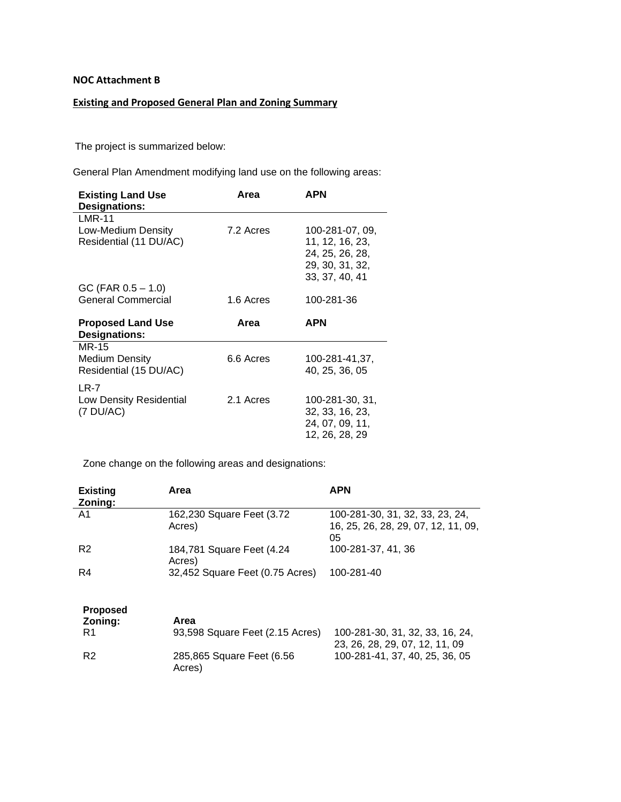#### **NOC Attachment B**

# **Existing and Proposed General Plan and Zoning Summary**

The project is summarized below:

General Plan Amendment modifying land use on the following areas:

| <b>Existing Land Use</b><br><b>Designations:</b> | Area      | <b>APN</b>                                                                                 |
|--------------------------------------------------|-----------|--------------------------------------------------------------------------------------------|
| $LMR-11$                                         |           |                                                                                            |
| Low-Medium Density<br>Residential (11 DU/AC)     | 7.2 Acres | 100-281-07, 09,<br>11, 12, 16, 23,<br>24, 25, 26, 28,<br>29, 30, 31, 32,<br>33, 37, 40, 41 |
| $GC$ (FAR $0.5 - 1.0$ )                          |           |                                                                                            |
| <b>General Commercial</b>                        | 1.6 Acres | 100-281-36                                                                                 |
|                                                  |           |                                                                                            |
| <b>Proposed Land Use</b><br><b>Designations:</b> | Area      | <b>APN</b>                                                                                 |
| MR-15                                            |           |                                                                                            |
| Medium Density<br>Residential (15 DU/AC)         | 6.6 Acres | 100-281-41,37,<br>40, 25, 36, 05                                                           |
| LR-7                                             |           |                                                                                            |

Zone change on the following areas and designations:

| <b>Existing</b><br>Zoning: | Area                                 | <b>APN</b>                                                                   |
|----------------------------|--------------------------------------|------------------------------------------------------------------------------|
| A1                         | 162,230 Square Feet (3.72<br>Acres)  | 100-281-30, 31, 32, 33, 23, 24,<br>16, 25, 26, 28, 29, 07, 12, 11, 09,<br>05 |
| R <sub>2</sub>             | 184,781 Square Feet (4.24)<br>Acres) | 100-281-37, 41, 36                                                           |
| R4                         | 32,452 Square Feet (0.75 Acres)      | 100-281-40                                                                   |
| <b>Proposed</b><br>Zoning: | Area                                 |                                                                              |
| R1                         | 93,598 Square Feet (2.15 Acres)      | 100-281-30, 31, 32, 33, 16, 24,<br>23, 26, 28, 29, 07, 12, 11, 09            |
| R <sub>2</sub>             | 285,865 Square Feet (6.56<br>Acres)  | 100-281-41, 37, 40, 25, 36, 05                                               |